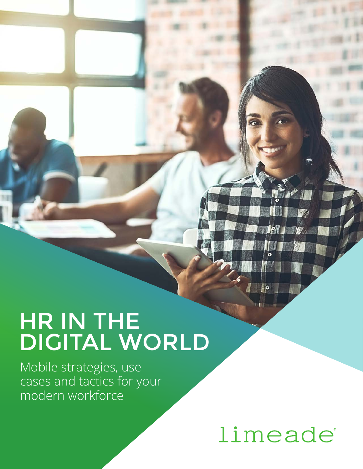# HR IN THE DIGITAL WORLD

Mobile strategies, use cases and tactics for your modern workforce

# limeade

10

 $|0|$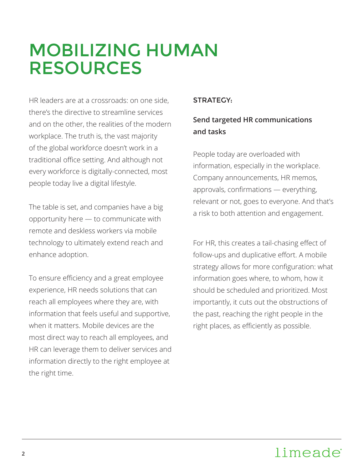## MOBILIZING HUMAN RESOURCES

HR leaders are at a crossroads: on one side, there's the directive to streamline services and on the other, the realities of the modern workplace. The truth is, the vast majority of the global workforce doesn't work in a traditional office setting. And although not every workforce is digitally-connected, most people today live a digital lifestyle.

The table is set, and companies have a big opportunity here — to communicate with remote and deskless workers via mobile technology to ultimately extend reach and enhance adoption.

To ensure efficiency and a great employee experience, HR needs solutions that can reach all employees where they are, with information that feels useful and supportive, when it matters. Mobile devices are the most direct way to reach all employees, and HR can leverage them to deliver services and information directly to the right employee at the right time.

#### STRATEGY:

#### **Send targeted HR communications and tasks**

People today are overloaded with information, especially in the workplace. Company announcements, HR memos, approvals, confirmations — everything, relevant or not, goes to everyone. And that's a risk to both attention and engagement.

For HR, this creates a tail-chasing effect of follow-ups and duplicative effort. A mobile strategy allows for more configuration: what information goes where, to whom, how it should be scheduled and prioritized. Most importantly, it cuts out the obstructions of the past, reaching the right people in the right places, as efficiently as possible.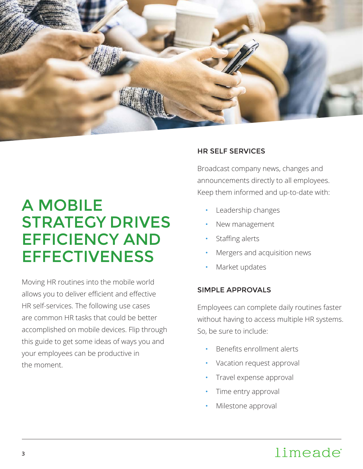

## A MOBILE STRATEGY DRIVES EFFICIENCY AND **EFFECTIVENESS**

Moving HR routines into the mobile world allows you to deliver efficient and effective HR self-services. The following use cases are common HR tasks that could be better accomplished on mobile devices. Flip through this guide to get some ideas of ways you and your employees can be productive in the moment.

#### HR SELF SERVICES

Broadcast company news, changes and announcements directly to all employees. Keep them informed and up-to-date with:

- **Leadership changes**
- New management
- Staffing alerts
- Mergers and acquisition news
- Market updates

#### SIMPLE APPROVALS

Employees can complete daily routines faster without having to access multiple HR systems. So, be sure to include:

- Benefits enrollment alerts
- Vacation request approval
- Travel expense approval
- Time entry approval
- Milestone approval

### limeade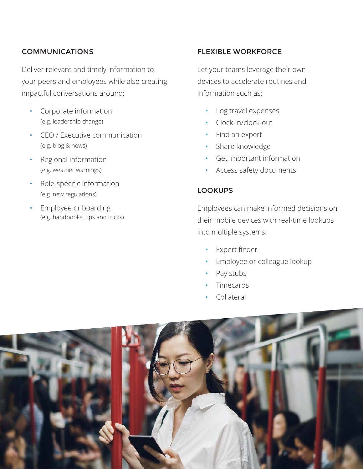#### COMMUNICATIONS

Deliver relevant and timely information to your peers and employees while also creating impactful conversations around:

- Corporate information (e.g. leadership change)
- CEO / Executive communication (e.g. blog & news)
- Regional information (e.g. weather warnings)
- Role-specific information (e.g. new regulations)
- **Employee onboarding** (e.g. handbooks, tips and tricks)

#### FLEXIBLE WORKFORCE

Let your teams leverage their own devices to accelerate routines and information such as:

- • Log travel expenses
- Clock-in/clock-out
- Find an expert
- Share knowledge
- **Get important information**
- Access safety documents

#### LOOKUPS

Employees can make informed decisions on their mobile devices with real-time lookups into multiple systems:

- • Expert finder
- Employee or colleague lookup
- Pay stubs
- **Timecards**
- Collateral

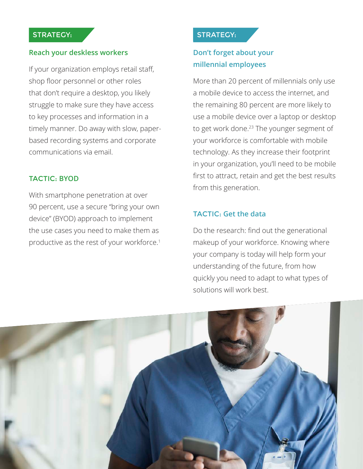#### STRATEGY:

#### **Reach your deskless workers**

If your organization employs retail staff, shop floor personnel or other roles that don't require a desktop, you likely struggle to make sure they have access to key processes and information in a timely manner. Do away with slow, paperbased recording systems and corporate communications via email.

#### TACTIC: **BYOD**

With smartphone penetration at over 90 percent, use a secure "bring your own device" (BYOD) approach to implement the use cases you need to make them as productive as the rest of your workforce.1

#### STRATEGY:

#### **Don't forget about your millennial employees**

More than 20 percent of millennials only use a mobile device to access the internet, and the remaining 80 percent are more likely to use a mobile device over a laptop or desktop to get work done.<sup>23</sup> The younger segment of your workforce is comfortable with mobile technology. As they increase their footprint in your organization, you'll need to be mobile first to attract, retain and get the best results from this generation.

#### TACTIC: **Get the data**

Do the research: find out the generational makeup of your workforce. Knowing where your company is today will help form your understanding of the future, from how quickly you need to adapt to what types of solutions will work best.